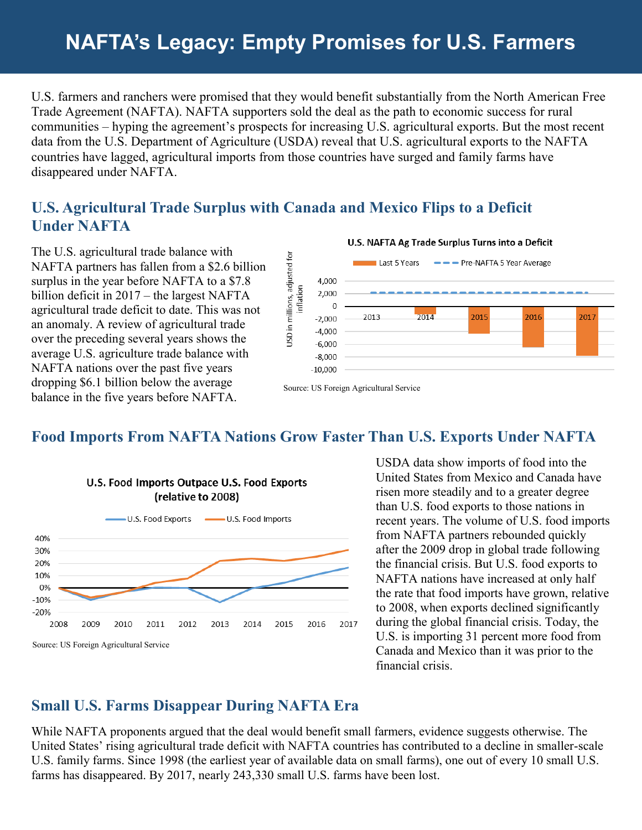# **NAFTA's Legacy: Empty Promises for U.S. Farmers**

U.S. farmers and ranchers were promised that they would benefit substantially from the North American Free Trade Agreement (NAFTA). NAFTA supporters sold the deal as the path to economic success for rural communities – hyping the agreement's prospects for increasing U.S. agricultural exports. But the most recent data from the U.S. Department of Agriculture (USDA) reveal that U.S. agricultural exports to the NAFTA countries have lagged, agricultural imports from those countries have surged and family farms have disappeared under NAFTA.

### **U.S. Agricultural Trade Surplus with Canada and Mexico Flips to a Deficit Under NAFTA**

The U.S. agricultural trade balance with NAFTA partners has fallen from a \$2.6 billion surplus in the year before NAFTA to a \$7.8 billion deficit in 2017 – the largest NAFTA agricultural trade deficit to date. This was not an anomaly. A review of agricultural trade over the preceding several years shows the average U.S. agriculture trade balance with NAFTA nations over the past five years dropping \$6.1 billion below the average balance in the five years before NAFTA.



Source: US Foreign Agricultural Service

### **Food Imports From NAFTA Nations Grow Faster Than U.S. Exports Under NAFTA**



USDA data show imports of food into the United States from Mexico and Canada have risen more steadily and to a greater degree than U.S. food exports to those nations in recent years. The volume of U.S. food imports from NAFTA partners rebounded quickly after the 2009 drop in global trade following the financial crisis. But U.S. food exports to NAFTA nations have increased at only half the rate that food imports have grown, relative to 2008, when exports declined significantly during the global financial crisis. Today, the U.S. is importing 31 percent more food from Canada and Mexico than it was prior to the financial crisis.

## **Small U.S. Farms Disappear During NAFTA Era**

While NAFTA proponents argued that the deal would benefit small farmers, evidence suggests otherwise. The United States' rising agricultural trade deficit with NAFTA countries has contributed to a decline in smaller-scale U.S. family farms. Since 1998 (the earliest year of available data on small farms), one out of every 10 small U.S. farms has disappeared. By 2017, nearly 243,330 small U.S. farms have been lost.